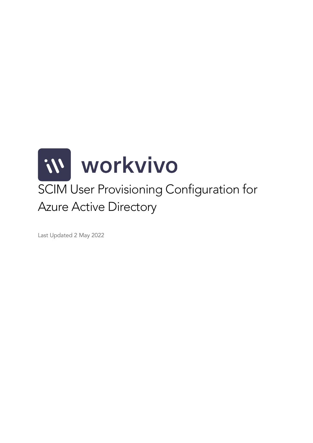

Last Updated 2 May 2022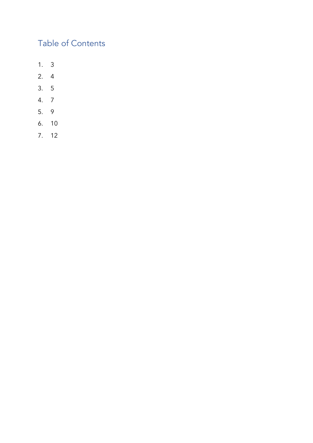# Table of Contents

- 1. 3
- 2. 4
- 3. 5
- 4. 7
- 5. 9
- 6. 10
- 7. 12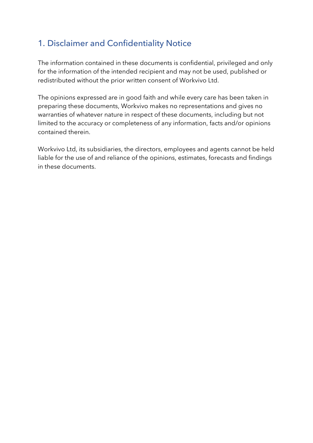### 1. Disclaimer and Confidentiality Notice

The information contained in these documents is confidential, privileged and only for the information of the intended recipient and may not be used, published or redistributed without the prior written consent of Workvivo Ltd.

The opinions expressed are in good faith and while every care has been taken in preparing these documents, Workvivo makes no representations and gives no warranties of whatever nature in respect of these documents, including but not limited to the accuracy or completeness of any information, facts and/or opinions contained therein.

Workvivo Ltd, its subsidiaries, the directors, employees and agents cannot be held liable for the use of and reliance of the opinions, estimates, forecasts and findings in these documents.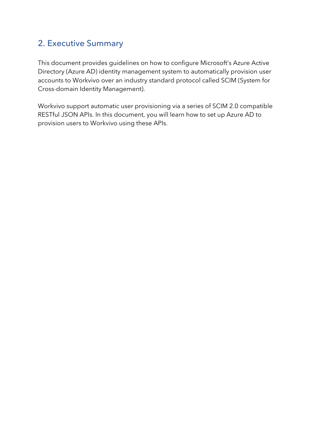### 2. Executive Summary

This document provides guidelines on how to configure Microsoft's Azure Active Directory (Azure AD) identity management system to automatically provision user accounts to Workvivo over an industry standard protocol called SCIM (System for Cross-domain Identity Management).

Workvivo support automatic user provisioning via a series of SCIM 2.0 compatible RESTful JSON APIs. In this document, you will learn how to set up Azure AD to provision users to Workvivo using these APIs.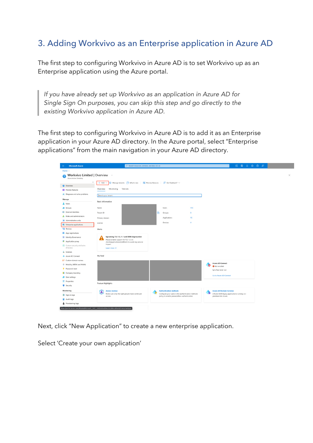### 3. Adding Workvivo as an Enterprise application in Azure AD

The first step to configuring Workvivo in Azure AD is to set Workvivo up as an Enterprise application using the Azure portal.

*If you have already set up Workvivo as an application in Azure AD for Single Sign On purposes, you can skip this step and go directly to the existing Workvivo application in Azure AD.*

The first step to configuring Workvivo in Azure AD is to add it as an Enterprise application in your Azure AD directory. In the Azure portal, select "Enterprise applications" from the main navigation in your Azure AD directory.

| Home ><br>Workvivo Limited   Overview<br>Azure Active Directory<br>$\ll$<br>③ Manage tenants [ 7] What's new<br><b>E</b> Preview features $\overline{A}$ Got feedback? $\vee$<br>$+$ Add $\vee$<br><b>O</b> Overview<br>Overview<br>Monitoring<br>Tutorials<br><b>EE</b> Preview features<br>X Diagnose and solve problems<br>Search your tenant<br>Manage<br><b>Basic information</b><br>& Users<br>113<br>Name<br>Users<br>& Groups<br><b>Bullet</b> External Identities<br>Ø.<br>Tenant ID<br>Groups<br>R<br>Roles and administrators<br>Applications<br>15<br>Primary domain<br>Administrative units<br>Devices<br>$\overline{4}$<br>License<br>Enterprise applications<br><b>Devices</b><br>Alerts<br>E. App registrations<br>Upcoming TLS 1.0, 1.1 and 3DES deprecation<br>A Identity Governance<br>. e.<br>Please enable support for TLS 1.2 on<br><b>E</b> Application proxy<br>clients(applications/platform) to avoid any service<br>impact.<br><b>S</b> Custom security attributes<br>(Preview)<br>Learn more El<br>Licenses<br>My feed<br>Azure AD Connect<br>Custom domain names<br><b>Azure AD Connect</b><br>Mobility (MDM and MAM)<br>Not enabled<br>Password reset<br>Sync has never run<br><b>II</b> Company branding<br>Go to Azure AD Connect<br><b>D</b> User settings<br>   Properties<br>Feature highlights<br>Security<br>Monitoring<br><b>Authentication methods</b><br><b>Azure AD Domain Services</b><br><b>Access reviews</b><br>۵<br>Make sure only the right people have continued<br>Configure your users in the authentication methods<br>Lift-and-shift legacy applications running on-<br>Sign-in logs<br>policy to enable passwordless authentication<br>premises into Azure.<br>access.<br>Audit logs<br>Provisioning logs<br>https://portal.azure.com/#blade/Microsoft_AAD_IAM/ActiveDirectoryMenuBlade/EnterpriseApps | <b>Microsoft Azure</b><br>$\equiv$ | <b>E &amp; Q &amp; O R</b><br>$O$ Search resources, services, and docs (G+/) |  |
|-------------------------------------------------------------------------------------------------------------------------------------------------------------------------------------------------------------------------------------------------------------------------------------------------------------------------------------------------------------------------------------------------------------------------------------------------------------------------------------------------------------------------------------------------------------------------------------------------------------------------------------------------------------------------------------------------------------------------------------------------------------------------------------------------------------------------------------------------------------------------------------------------------------------------------------------------------------------------------------------------------------------------------------------------------------------------------------------------------------------------------------------------------------------------------------------------------------------------------------------------------------------------------------------------------------------------------------------------------------------------------------------------------------------------------------------------------------------------------------------------------------------------------------------------------------------------------------------------------------------------------------------------------------------------------------------------------------------------------------------------------------------------------------------------------------------------------------------------------------|------------------------------------|------------------------------------------------------------------------------|--|
|                                                                                                                                                                                                                                                                                                                                                                                                                                                                                                                                                                                                                                                                                                                                                                                                                                                                                                                                                                                                                                                                                                                                                                                                                                                                                                                                                                                                                                                                                                                                                                                                                                                                                                                                                                                                                                                             |                                    |                                                                              |  |
|                                                                                                                                                                                                                                                                                                                                                                                                                                                                                                                                                                                                                                                                                                                                                                                                                                                                                                                                                                                                                                                                                                                                                                                                                                                                                                                                                                                                                                                                                                                                                                                                                                                                                                                                                                                                                                                             |                                    |                                                                              |  |
|                                                                                                                                                                                                                                                                                                                                                                                                                                                                                                                                                                                                                                                                                                                                                                                                                                                                                                                                                                                                                                                                                                                                                                                                                                                                                                                                                                                                                                                                                                                                                                                                                                                                                                                                                                                                                                                             |                                    |                                                                              |  |
|                                                                                                                                                                                                                                                                                                                                                                                                                                                                                                                                                                                                                                                                                                                                                                                                                                                                                                                                                                                                                                                                                                                                                                                                                                                                                                                                                                                                                                                                                                                                                                                                                                                                                                                                                                                                                                                             |                                    |                                                                              |  |
|                                                                                                                                                                                                                                                                                                                                                                                                                                                                                                                                                                                                                                                                                                                                                                                                                                                                                                                                                                                                                                                                                                                                                                                                                                                                                                                                                                                                                                                                                                                                                                                                                                                                                                                                                                                                                                                             |                                    |                                                                              |  |
|                                                                                                                                                                                                                                                                                                                                                                                                                                                                                                                                                                                                                                                                                                                                                                                                                                                                                                                                                                                                                                                                                                                                                                                                                                                                                                                                                                                                                                                                                                                                                                                                                                                                                                                                                                                                                                                             |                                    |                                                                              |  |
|                                                                                                                                                                                                                                                                                                                                                                                                                                                                                                                                                                                                                                                                                                                                                                                                                                                                                                                                                                                                                                                                                                                                                                                                                                                                                                                                                                                                                                                                                                                                                                                                                                                                                                                                                                                                                                                             |                                    |                                                                              |  |
|                                                                                                                                                                                                                                                                                                                                                                                                                                                                                                                                                                                                                                                                                                                                                                                                                                                                                                                                                                                                                                                                                                                                                                                                                                                                                                                                                                                                                                                                                                                                                                                                                                                                                                                                                                                                                                                             |                                    |                                                                              |  |
|                                                                                                                                                                                                                                                                                                                                                                                                                                                                                                                                                                                                                                                                                                                                                                                                                                                                                                                                                                                                                                                                                                                                                                                                                                                                                                                                                                                                                                                                                                                                                                                                                                                                                                                                                                                                                                                             |                                    |                                                                              |  |
|                                                                                                                                                                                                                                                                                                                                                                                                                                                                                                                                                                                                                                                                                                                                                                                                                                                                                                                                                                                                                                                                                                                                                                                                                                                                                                                                                                                                                                                                                                                                                                                                                                                                                                                                                                                                                                                             |                                    |                                                                              |  |
|                                                                                                                                                                                                                                                                                                                                                                                                                                                                                                                                                                                                                                                                                                                                                                                                                                                                                                                                                                                                                                                                                                                                                                                                                                                                                                                                                                                                                                                                                                                                                                                                                                                                                                                                                                                                                                                             |                                    |                                                                              |  |
|                                                                                                                                                                                                                                                                                                                                                                                                                                                                                                                                                                                                                                                                                                                                                                                                                                                                                                                                                                                                                                                                                                                                                                                                                                                                                                                                                                                                                                                                                                                                                                                                                                                                                                                                                                                                                                                             |                                    |                                                                              |  |
|                                                                                                                                                                                                                                                                                                                                                                                                                                                                                                                                                                                                                                                                                                                                                                                                                                                                                                                                                                                                                                                                                                                                                                                                                                                                                                                                                                                                                                                                                                                                                                                                                                                                                                                                                                                                                                                             |                                    |                                                                              |  |
|                                                                                                                                                                                                                                                                                                                                                                                                                                                                                                                                                                                                                                                                                                                                                                                                                                                                                                                                                                                                                                                                                                                                                                                                                                                                                                                                                                                                                                                                                                                                                                                                                                                                                                                                                                                                                                                             |                                    |                                                                              |  |
|                                                                                                                                                                                                                                                                                                                                                                                                                                                                                                                                                                                                                                                                                                                                                                                                                                                                                                                                                                                                                                                                                                                                                                                                                                                                                                                                                                                                                                                                                                                                                                                                                                                                                                                                                                                                                                                             |                                    |                                                                              |  |
|                                                                                                                                                                                                                                                                                                                                                                                                                                                                                                                                                                                                                                                                                                                                                                                                                                                                                                                                                                                                                                                                                                                                                                                                                                                                                                                                                                                                                                                                                                                                                                                                                                                                                                                                                                                                                                                             |                                    |                                                                              |  |
|                                                                                                                                                                                                                                                                                                                                                                                                                                                                                                                                                                                                                                                                                                                                                                                                                                                                                                                                                                                                                                                                                                                                                                                                                                                                                                                                                                                                                                                                                                                                                                                                                                                                                                                                                                                                                                                             |                                    |                                                                              |  |
|                                                                                                                                                                                                                                                                                                                                                                                                                                                                                                                                                                                                                                                                                                                                                                                                                                                                                                                                                                                                                                                                                                                                                                                                                                                                                                                                                                                                                                                                                                                                                                                                                                                                                                                                                                                                                                                             |                                    |                                                                              |  |
|                                                                                                                                                                                                                                                                                                                                                                                                                                                                                                                                                                                                                                                                                                                                                                                                                                                                                                                                                                                                                                                                                                                                                                                                                                                                                                                                                                                                                                                                                                                                                                                                                                                                                                                                                                                                                                                             |                                    |                                                                              |  |
|                                                                                                                                                                                                                                                                                                                                                                                                                                                                                                                                                                                                                                                                                                                                                                                                                                                                                                                                                                                                                                                                                                                                                                                                                                                                                                                                                                                                                                                                                                                                                                                                                                                                                                                                                                                                                                                             |                                    |                                                                              |  |
|                                                                                                                                                                                                                                                                                                                                                                                                                                                                                                                                                                                                                                                                                                                                                                                                                                                                                                                                                                                                                                                                                                                                                                                                                                                                                                                                                                                                                                                                                                                                                                                                                                                                                                                                                                                                                                                             |                                    |                                                                              |  |
|                                                                                                                                                                                                                                                                                                                                                                                                                                                                                                                                                                                                                                                                                                                                                                                                                                                                                                                                                                                                                                                                                                                                                                                                                                                                                                                                                                                                                                                                                                                                                                                                                                                                                                                                                                                                                                                             |                                    |                                                                              |  |
|                                                                                                                                                                                                                                                                                                                                                                                                                                                                                                                                                                                                                                                                                                                                                                                                                                                                                                                                                                                                                                                                                                                                                                                                                                                                                                                                                                                                                                                                                                                                                                                                                                                                                                                                                                                                                                                             |                                    |                                                                              |  |
|                                                                                                                                                                                                                                                                                                                                                                                                                                                                                                                                                                                                                                                                                                                                                                                                                                                                                                                                                                                                                                                                                                                                                                                                                                                                                                                                                                                                                                                                                                                                                                                                                                                                                                                                                                                                                                                             |                                    |                                                                              |  |
|                                                                                                                                                                                                                                                                                                                                                                                                                                                                                                                                                                                                                                                                                                                                                                                                                                                                                                                                                                                                                                                                                                                                                                                                                                                                                                                                                                                                                                                                                                                                                                                                                                                                                                                                                                                                                                                             |                                    |                                                                              |  |
|                                                                                                                                                                                                                                                                                                                                                                                                                                                                                                                                                                                                                                                                                                                                                                                                                                                                                                                                                                                                                                                                                                                                                                                                                                                                                                                                                                                                                                                                                                                                                                                                                                                                                                                                                                                                                                                             |                                    |                                                                              |  |
|                                                                                                                                                                                                                                                                                                                                                                                                                                                                                                                                                                                                                                                                                                                                                                                                                                                                                                                                                                                                                                                                                                                                                                                                                                                                                                                                                                                                                                                                                                                                                                                                                                                                                                                                                                                                                                                             |                                    |                                                                              |  |
|                                                                                                                                                                                                                                                                                                                                                                                                                                                                                                                                                                                                                                                                                                                                                                                                                                                                                                                                                                                                                                                                                                                                                                                                                                                                                                                                                                                                                                                                                                                                                                                                                                                                                                                                                                                                                                                             |                                    |                                                                              |  |
|                                                                                                                                                                                                                                                                                                                                                                                                                                                                                                                                                                                                                                                                                                                                                                                                                                                                                                                                                                                                                                                                                                                                                                                                                                                                                                                                                                                                                                                                                                                                                                                                                                                                                                                                                                                                                                                             |                                    |                                                                              |  |
|                                                                                                                                                                                                                                                                                                                                                                                                                                                                                                                                                                                                                                                                                                                                                                                                                                                                                                                                                                                                                                                                                                                                                                                                                                                                                                                                                                                                                                                                                                                                                                                                                                                                                                                                                                                                                                                             |                                    |                                                                              |  |

Next, click "New Application" to create a new enterprise application.

Select 'Create your own application'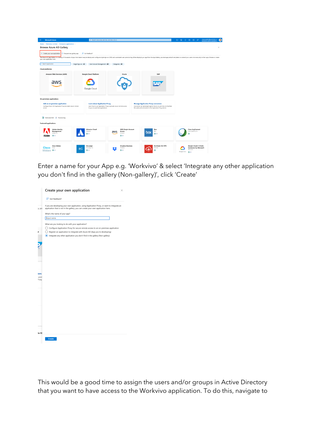| $=$<br><b>Microsoft Azure</b>                                           | $P$ Search resources, services, and docs (G+/)        |                                                                    |                                                                                                                                                                                                                                | 回 尋 0 @ ⑦ 尽                                | clara.walsh@workvivo.o.<br>Œ |
|-------------------------------------------------------------------------|-------------------------------------------------------|--------------------------------------------------------------------|--------------------------------------------------------------------------------------------------------------------------------------------------------------------------------------------------------------------------------|--------------------------------------------|------------------------------|
| Home > Workvivo Limited > Enterprise applications >                     |                                                       |                                                                    |                                                                                                                                                                                                                                |                                            |                              |
| <b>Browse Azure AD Gallery</b><br>$\sim$                                |                                                       |                                                                    |                                                                                                                                                                                                                                |                                            | ×                            |
| + Create your own application                                           | Request new gallery app   R Got feedback?             |                                                                    |                                                                                                                                                                                                                                |                                            |                              |
| your own application here.                                              |                                                       |                                                                    | The Azure AD App Gallery is a catalog of thousands of apps that make it easy to deploy and configure single sign-on (SSO) and automated user provisioning. When deploying an app from the App Gallery, you leverage prebuilt t |                                            |                              |
| O Search application                                                    | Single Sign-on : All<br>User Account Management : All | Categories : All                                                   |                                                                                                                                                                                                                                |                                            |                              |
| <b>Cloud platforms</b>                                                  |                                                       |                                                                    |                                                                                                                                                                                                                                |                                            |                              |
| <b>Amazon Web Services (AWS)</b>                                        | <b>Google Cloud Platform</b>                          | Oracle                                                             | SAP                                                                                                                                                                                                                            |                                            |                              |
|                                                                         |                                                       |                                                                    |                                                                                                                                                                                                                                |                                            |                              |
| dWS                                                                     |                                                       |                                                                    | <b>SAP</b>                                                                                                                                                                                                                     |                                            |                              |
|                                                                         |                                                       |                                                                    |                                                                                                                                                                                                                                |                                            |                              |
|                                                                         | Google Cloud                                          |                                                                    |                                                                                                                                                                                                                                |                                            |                              |
|                                                                         |                                                       |                                                                    |                                                                                                                                                                                                                                |                                            |                              |
| On-premises applications                                                |                                                       |                                                                    |                                                                                                                                                                                                                                |                                            |                              |
| Add an on-premises application                                          | <b>Learn about Application Proxy</b>                  |                                                                    | <b>Manage Application Proxy connectors</b>                                                                                                                                                                                     |                                            |                              |
| Configure Azure AD Application Proxy to enable secure remote<br>access. | to your on-premises applications.                     | Learn how to use Application Proxy to provide secure remote access | Connectors are lightweight agents that sit on-premises and facilitate<br>the outbound connection to the Application Proxy service.                                                                                             |                                            |                              |
|                                                                         |                                                       |                                                                    |                                                                                                                                                                                                                                |                                            |                              |
| D Federated SSO (D Provisioning                                         |                                                       |                                                                    |                                                                                                                                                                                                                                |                                            |                              |
|                                                                         |                                                       |                                                                    |                                                                                                                                                                                                                                |                                            |                              |
| <b>Featured applications</b>                                            |                                                       |                                                                    |                                                                                                                                                                                                                                |                                            |                              |
| <b>Adobe Identity</b>                                                   | <b>Atlassian Cloud</b>                                | <b>AWS Single-Account</b>                                          | Box                                                                                                                                                                                                                            | <b>Cisco AnyConnect</b>                    |                              |
| Management<br>Adobe Inc.                                                | Atlassian<br>த க                                      | Access<br>aws<br>Amazon                                            | Box<br>box<br>ூ ூ                                                                                                                                                                                                              | Cisco Systems, Inc.<br>க                   |                              |
| த ம<br>Adobe                                                            |                                                       | ЭФ                                                                 |                                                                                                                                                                                                                                |                                            |                              |
| <b>Cisco Webex</b>                                                      | Docusign                                              | <b>Dropbox Business</b>                                            | <b>FortiGate SSL VPN</b>                                                                                                                                                                                                       | Google Cloud / G Suite                     |                              |
| <b>Cisco</b> Goo                                                        | DocuSign Inc.<br>DS                                   | Dropbox                                                            | Fortinet<br>Ð                                                                                                                                                                                                                  | <b>Connector by Microsoft</b><br>Microsoft |                              |
| Webex ЭФ                                                                | 9 ம                                                   | த க                                                                |                                                                                                                                                                                                                                | Google Cloud<br>ЭФ                         |                              |

Enter a name for your App e.g. 'Workvivo' & select 'Integrate any other application you don't find in the gallery (Non-gallery)', click 'Create'

| Got feedback?                                                                                                                                                                     |
|-----------------------------------------------------------------------------------------------------------------------------------------------------------------------------------|
| If you are developing your own application, using Application Proxy, or want to integrate an<br>application that is not in the gallery, you can create your own application here. |
| What's the name of your app?                                                                                                                                                      |
| Input name                                                                                                                                                                        |
| What are you looking to do with your application?                                                                                                                                 |
| Configure Application Proxy for secure remote access to an on-premises application                                                                                                |
| Register an application to integrate with Azure AD (App you're developing)                                                                                                        |
| (b) Integrate any other application you don't find in the gallery (Non-gallery)                                                                                                   |
|                                                                                                                                                                                   |
|                                                                                                                                                                                   |
|                                                                                                                                                                                   |
|                                                                                                                                                                                   |
|                                                                                                                                                                                   |
|                                                                                                                                                                                   |
|                                                                                                                                                                                   |
|                                                                                                                                                                                   |
|                                                                                                                                                                                   |
|                                                                                                                                                                                   |
|                                                                                                                                                                                   |
|                                                                                                                                                                                   |
|                                                                                                                                                                                   |
|                                                                                                                                                                                   |
|                                                                                                                                                                                   |
|                                                                                                                                                                                   |
|                                                                                                                                                                                   |
|                                                                                                                                                                                   |
|                                                                                                                                                                                   |
|                                                                                                                                                                                   |
|                                                                                                                                                                                   |
|                                                                                                                                                                                   |
|                                                                                                                                                                                   |
|                                                                                                                                                                                   |

This would be a good time to assign the users and/or groups in Active Directory that you want to have access to the Workvivo application. To do this, navigate to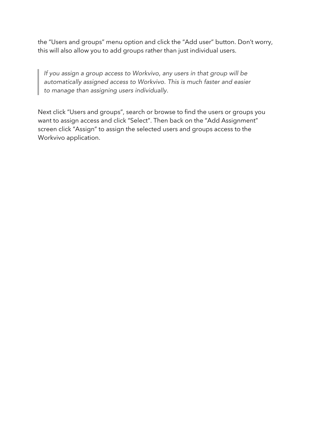the "Users and groups" menu option and click the "Add user" button. Don't worry, this will also allow you to add groups rather than just individual users.

*If you assign a group access to Workvivo, any users in that group will be automatically assigned access to Workvivo. This is much faster and easier to manage than assigning users individually.*

Next click "Users and groups", search or browse to find the users or groups you want to assign access and click "Select". Then back on the "Add Assignment" screen click "Assign" to assign the selected users and groups access to the Workvivo application.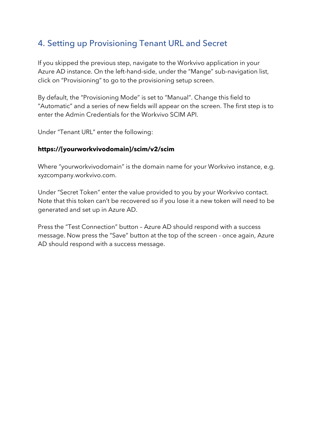### 4. Setting up Provisioning Tenant URL and Secret

If you skipped the previous step, navigate to the Workvivo application in your Azure AD instance. On the left-hand-side, under the "Mange" sub-navigation list, click on "Provisioning" to go to the provisioning setup screen.

By default, the "Provisioning Mode" is set to "Manual". Change this field to "Automatic" and a series of new fields will appear on the screen. The first step is to enter the Admin Credentials for the Workvivo SCIM API.

Under "Tenant URL" enter the following:

#### **https://[yourworkvivodomain]/scim/v2/scim**

Where "yourworkvivodomain" is the domain name for your Workvivo instance, e.g. xyzcompany.workvivo.com.

Under "Secret Token" enter the value provided to you by your Workvivo contact. Note that this token can't be recovered so if you lose it a new token will need to be generated and set up in Azure AD.

Press the "Test Connection" button – Azure AD should respond with a success message. Now press the "Save" button at the top of the screen - once again, Azure AD should respond with a success message.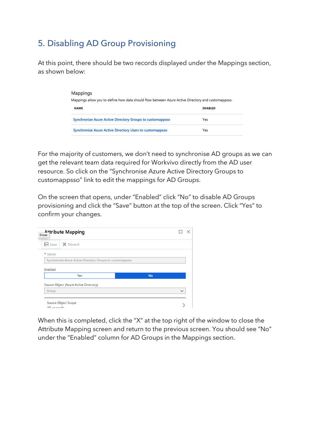## 5. Disabling AD Group Provisioning

At this point, there should be two records displayed under the Mappings section, as shown below:

| Mappings<br>Mappings allow you to define how data should flow between Azure Active Directory and customappsso. |                |
|----------------------------------------------------------------------------------------------------------------|----------------|
| <b>NAME</b>                                                                                                    | <b>ENABLED</b> |
| <b>Synchronize Azure Active Directory Groups to customappsso</b>                                               | Yes            |
| <b>Synchronize Azure Active Directory Users to customappsso</b>                                                | Yes            |

For the majority of customers, we don't need to synchronise AD groups as we can get the relevant team data required for Workvivo directly from the AD user resource. So click on the "Synchronise Azure Active Directory Groups to customappsso" link to edit the mappings for AD Groups.

On the screen that opens, under "Enabled" click "No" to disable AD Groups provisioning and click the "Save" button at the top of the screen. Click "Yes" to confirm your changes.

| A <sub>ttribute</sub> Mapping<br>Close                    |           |             |
|-----------------------------------------------------------|-----------|-------------|
| $\Box$ Save $\Box$ $\times$ Discard                       |           |             |
| * Name                                                    |           |             |
| Synchronize Azure Active Directory Groups to customappsso |           |             |
| Enabled                                                   |           |             |
| Yes                                                       | <b>No</b> |             |
| Source Object (Azure Active Directory)                    |           |             |
| Group                                                     |           | $\check{ }$ |
| Source Object Scope                                       |           |             |
|                                                           |           |             |

When this is completed, click the "X" at the top right of the window to close the Attribute Mapping screen and return to the previous screen. You should see "No" under the "Enabled" column for AD Groups in the Mappings section.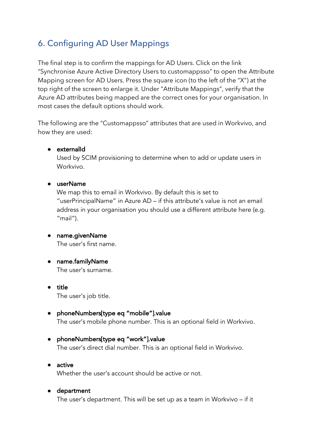## 6. Configuring AD User Mappings

The final step is to confirm the mappings for AD Users. Click on the link "Synchronise Azure Active Directory Users to customappsso" to open the Attribute Mapping screen for AD Users. Press the square icon (to the left of the "X") at the top right of the screen to enlarge it. Under "Attribute Mappings", verify that the Azure AD attributes being mapped are the correct ones for your organisation. In most cases the default options should work.

The following are the "Customappsso" attributes that are used in Workvivo, and how they are used:

#### ● externalId

Used by SCIM provisioning to determine when to add or update users in Workvivo.

#### ● userName

We map this to email in Workvivo. By default this is set to "userPrincipalName" in Azure AD – if this attribute's value is not an email address in your organisation you should use a different attribute here (e.g.  $"$ mail").

- name.givenName The user's first name.
- name.familyName The user's surname.
- title The user's job title.
- phoneNumbers[type eq "mobile"].value The user's mobile phone number. This is an optional field in Workvivo.

#### ● phoneNumbers[type eq "work"].value The user's direct dial number. This is an optional field in Workvivo.

● active Whether the user's account should be active or not.

#### ● department

The user's department. This will be set up as a team in Workvivo – if it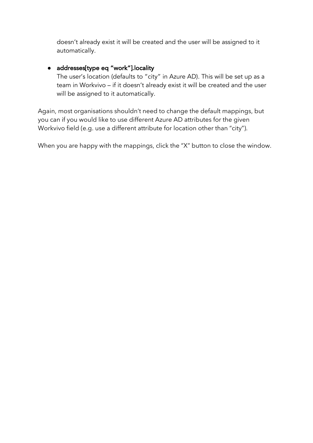doesn't already exist it will be created and the user will be assigned to it automatically.

### ● addresses[type eq "work"].locality

The user's location (defaults to "city" in Azure AD). This will be set up as a team in Workvivo – if it doesn't already exist it will be created and the user will be assigned to it automatically.

Again, most organisations shouldn't need to change the default mappings, but you can if you would like to use different Azure AD attributes for the given Workvivo field (e.g. use a different attribute for location other than "city").

When you are happy with the mappings, click the "X" button to close the window.